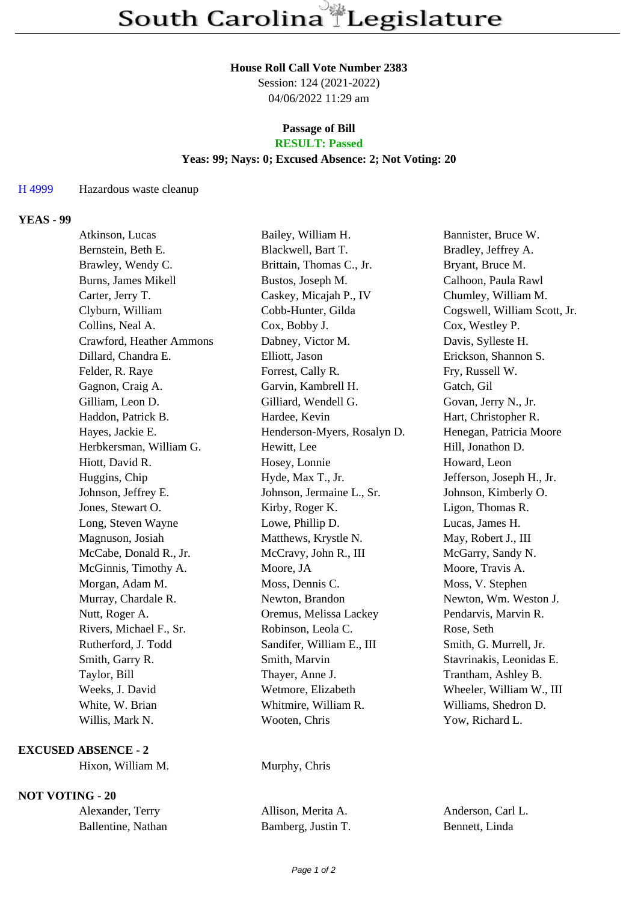#### **House Roll Call Vote Number 2383**

Session: 124 (2021-2022) 04/06/2022 11:29 am

# **Passage of Bill**

## **RESULT: Passed**

#### **Yeas: 99; Nays: 0; Excused Absence: 2; Not Voting: 20**

#### H 4999 Hazardous waste cleanup

#### **YEAS - 99**

| Atkinson, Lucas          | Bailey, William H.          | Bannister, Bruce W.          |
|--------------------------|-----------------------------|------------------------------|
| Bernstein, Beth E.       | Blackwell, Bart T.          | Bradley, Jeffrey A.          |
| Brawley, Wendy C.        | Brittain, Thomas C., Jr.    | Bryant, Bruce M.             |
| Burns, James Mikell      | Bustos, Joseph M.           | Calhoon, Paula Rawl          |
| Carter, Jerry T.         | Caskey, Micajah P., IV      | Chumley, William M.          |
| Clyburn, William         | Cobb-Hunter, Gilda          | Cogswell, William Scott, Jr. |
| Collins, Neal A.         | Cox, Bobby J.               | Cox, Westley P.              |
| Crawford, Heather Ammons | Dabney, Victor M.           | Davis, Sylleste H.           |
| Dillard, Chandra E.      | Elliott, Jason              | Erickson, Shannon S.         |
| Felder, R. Raye          | Forrest, Cally R.           | Fry, Russell W.              |
| Gagnon, Craig A.         | Garvin, Kambrell H.         | Gatch, Gil                   |
| Gilliam, Leon D.         | Gilliard, Wendell G.        | Govan, Jerry N., Jr.         |
| Haddon, Patrick B.       | Hardee, Kevin               | Hart, Christopher R.         |
| Hayes, Jackie E.         | Henderson-Myers, Rosalyn D. | Henegan, Patricia Moore      |
| Herbkersman, William G.  | Hewitt, Lee                 | Hill, Jonathon D.            |
| Hiott, David R.          | Hosey, Lonnie               | Howard, Leon                 |
| Huggins, Chip            | Hyde, Max T., Jr.           | Jefferson, Joseph H., Jr.    |
| Johnson, Jeffrey E.      | Johnson, Jermaine L., Sr.   | Johnson, Kimberly O.         |
| Jones, Stewart O.        | Kirby, Roger K.             | Ligon, Thomas R.             |
| Long, Steven Wayne       | Lowe, Phillip D.            | Lucas, James H.              |
| Magnuson, Josiah         | Matthews, Krystle N.        | May, Robert J., III          |
| McCabe, Donald R., Jr.   | McCravy, John R., III       | McGarry, Sandy N.            |
| McGinnis, Timothy A.     | Moore, JA                   | Moore, Travis A.             |
| Morgan, Adam M.          | Moss, Dennis C.             | Moss, V. Stephen             |
| Murray, Chardale R.      | Newton, Brandon             | Newton, Wm. Weston J.        |
| Nutt, Roger A.           | Oremus, Melissa Lackey      | Pendarvis, Marvin R.         |
| Rivers, Michael F., Sr.  | Robinson, Leola C.          | Rose, Seth                   |
| Rutherford, J. Todd      | Sandifer, William E., III   | Smith, G. Murrell, Jr.       |
| Smith, Garry R.          | Smith, Marvin               | Stavrinakis, Leonidas E.     |
| Taylor, Bill             | Thayer, Anne J.             | Trantham, Ashley B.          |
| Weeks, J. David          | Wetmore, Elizabeth          | Wheeler, William W., III     |
| White, W. Brian          | Whitmire, William R.        | Williams, Shedron D.         |
| Willis, Mark N.          | Wooten, Chris               | Yow, Richard L.              |
|                          |                             |                              |

### **EXCUSED ABSENCE - 2**

Hixon, William M. Murphy, Chris

#### **NOT VOTING - 20**

| Alexander, Terry   |
|--------------------|
| Ballentine, Nathan |

Allison, Merita A. Anderson, Carl L. Bamberg, Justin T. Bennett, Linda